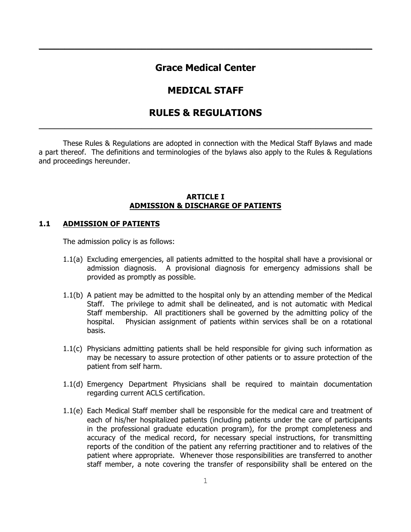# **Grace Medical Center**

\_\_\_\_\_\_\_\_\_\_\_\_\_\_\_\_\_\_\_\_\_\_\_\_\_\_\_\_\_\_\_\_\_\_\_\_\_\_\_\_\_\_\_\_\_\_\_\_\_\_\_\_\_\_\_\_\_\_\_\_\_\_\_\_\_

# **MEDICAL STAFF**

# **RULES & REGULATIONS** \_\_\_\_\_\_\_\_\_\_\_\_\_\_\_\_\_\_\_\_\_\_\_\_\_\_\_\_\_\_\_\_\_\_\_\_\_\_\_\_\_\_\_\_\_\_\_\_\_\_\_\_\_\_\_\_\_\_\_\_\_\_\_\_\_

These Rules & Regulations are adopted in connection with the Medical Staff Bylaws and made a part thereof. The definitions and terminologies of the bylaws also apply to the Rules & Regulations and proceedings hereunder.

#### **ARTICLE I ADMISSION & DISCHARGE OF PATIENTS**

#### **1.1 ADMISSION OF PATIENTS**

The admission policy is as follows:

- 1.1(a) Excluding emergencies, all patients admitted to the hospital shall have a provisional or admission diagnosis. A provisional diagnosis for emergency admissions shall be provided as promptly as possible.
- 1.1(b) A patient may be admitted to the hospital only by an attending member of the Medical Staff. The privilege to admit shall be delineated, and is not automatic with Medical Staff membership. All practitioners shall be governed by the admitting policy of the hospital. Physician assignment of patients within services shall be on a rotational basis.
- 1.1(c) Physicians admitting patients shall be held responsible for giving such information as may be necessary to assure protection of other patients or to assure protection of the patient from self harm.
- 1.1(d) Emergency Department Physicians shall be required to maintain documentation regarding current ACLS certification.
- 1.1(e) Each Medical Staff member shall be responsible for the medical care and treatment of each of his/her hospitalized patients (including patients under the care of participants in the professional graduate education program), for the prompt completeness and accuracy of the medical record, for necessary special instructions, for transmitting reports of the condition of the patient any referring practitioner and to relatives of the patient where appropriate. Whenever those responsibilities are transferred to another staff member, a note covering the transfer of responsibility shall be entered on the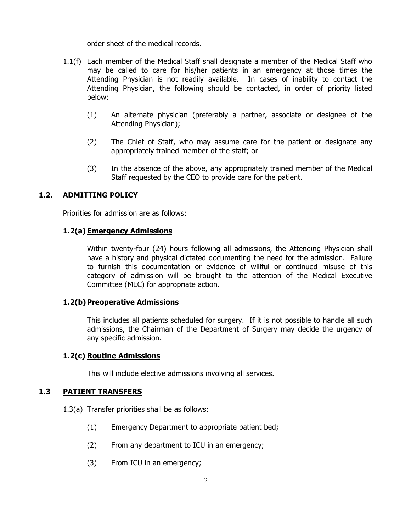order sheet of the medical records.

- 1.1(f) Each member of the Medical Staff shall designate a member of the Medical Staff who may be called to care for his/her patients in an emergency at those times the Attending Physician is not readily available. In cases of inability to contact the Attending Physician, the following should be contacted, in order of priority listed below:
	- (1) An alternate physician (preferably a partner, associate or designee of the Attending Physician);
	- (2) The Chief of Staff, who may assume care for the patient or designate any appropriately trained member of the staff; or
	- (3) In the absence of the above, any appropriately trained member of the Medical Staff requested by the CEO to provide care for the patient.

### **1.2. ADMITTING POLICY**

Priorities for admission are as follows:

#### **1.2(a) Emergency Admissions**

Within twenty-four (24) hours following all admissions, the Attending Physician shall have a history and physical dictated documenting the need for the admission. Failure to furnish this documentation or evidence of willful or continued misuse of this category of admission will be brought to the attention of the Medical Executive Committee (MEC) for appropriate action.

#### **1.2(b)Preoperative Admissions**

This includes all patients scheduled for surgery. If it is not possible to handle all such admissions, the Chairman of the Department of Surgery may decide the urgency of any specific admission.

#### **1.2(c) Routine Admissions**

This will include elective admissions involving all services.

#### **1.3 PATIENT TRANSFERS**

- 1.3(a) Transfer priorities shall be as follows:
	- (1) Emergency Department to appropriate patient bed;
	- (2) From any department to ICU in an emergency;
	- (3) From ICU in an emergency;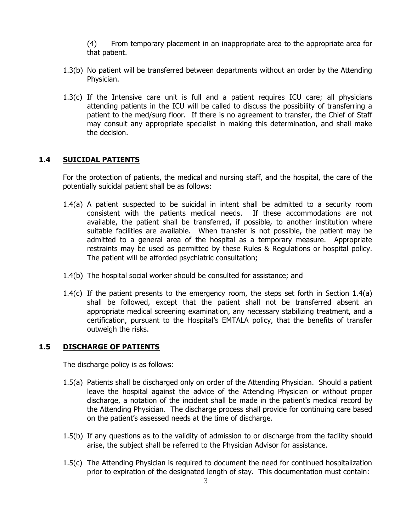(4) From temporary placement in an inappropriate area to the appropriate area for that patient.

- 1.3(b) No patient will be transferred between departments without an order by the Attending Physician.
- 1.3(c) If the Intensive care unit is full and a patient requires ICU care; all physicians attending patients in the ICU will be called to discuss the possibility of transferring a patient to the med/surg floor. If there is no agreement to transfer, the Chief of Staff may consult any appropriate specialist in making this determination, and shall make the decision.

#### **1.4 SUICIDAL PATIENTS**

For the protection of patients, the medical and nursing staff, and the hospital, the care of the potentially suicidal patient shall be as follows:

- 1.4(a) A patient suspected to be suicidal in intent shall be admitted to a security room consistent with the patients medical needs. If these accommodations are not available, the patient shall be transferred, if possible, to another institution where suitable facilities are available. When transfer is not possible, the patient may be admitted to a general area of the hospital as a temporary measure. Appropriate restraints may be used as permitted by these Rules & Regulations or hospital policy. The patient will be afforded psychiatric consultation;
- 1.4(b) The hospital social worker should be consulted for assistance; and
- 1.4(c) If the patient presents to the emergency room, the steps set forth in Section 1.4(a) shall be followed, except that the patient shall not be transferred absent an appropriate medical screening examination, any necessary stabilizing treatment, and a certification, pursuant to the Hospital's EMTALA policy, that the benefits of transfer outweigh the risks.

#### **1.5 DISCHARGE OF PATIENTS**

The discharge policy is as follows:

- 1.5(a) Patients shall be discharged only on order of the Attending Physician. Should a patient leave the hospital against the advice of the Attending Physician or without proper discharge, a notation of the incident shall be made in the patient's medical record by the Attending Physician. The discharge process shall provide for continuing care based on the patient's assessed needs at the time of discharge.
- 1.5(b) If any questions as to the validity of admission to or discharge from the facility should arise, the subject shall be referred to the Physician Advisor for assistance.
- 1.5(c) The Attending Physician is required to document the need for continued hospitalization prior to expiration of the designated length of stay. This documentation must contain: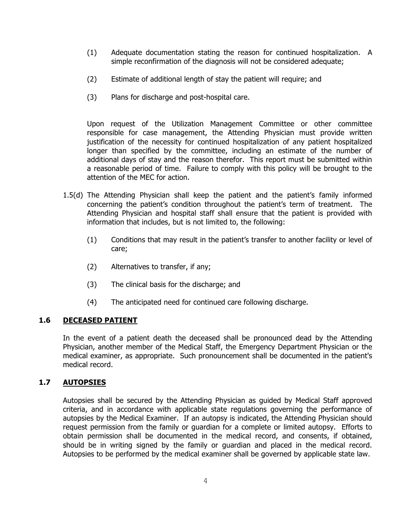- (1) Adequate documentation stating the reason for continued hospitalization. A simple reconfirmation of the diagnosis will not be considered adequate;
- (2) Estimate of additional length of stay the patient will require; and
- (3) Plans for discharge and post-hospital care.

Upon request of the Utilization Management Committee or other committee responsible for case management, the Attending Physician must provide written justification of the necessity for continued hospitalization of any patient hospitalized longer than specified by the committee, including an estimate of the number of additional days of stay and the reason therefor. This report must be submitted within a reasonable period of time. Failure to comply with this policy will be brought to the attention of the MEC for action.

- 1.5(d) The Attending Physician shall keep the patient and the patient's family informed concerning the patient's condition throughout the patient's term of treatment. The Attending Physician and hospital staff shall ensure that the patient is provided with information that includes, but is not limited to, the following:
	- (1) Conditions that may result in the patient's transfer to another facility or level of care;
	- (2) Alternatives to transfer, if any;
	- (3) The clinical basis for the discharge; and
	- (4) The anticipated need for continued care following discharge.

### **1.6 DECEASED PATIENT**

In the event of a patient death the deceased shall be pronounced dead by the Attending Physician, another member of the Medical Staff, the Emergency Department Physician or the medical examiner, as appropriate. Such pronouncement shall be documented in the patient's medical record.

## **1.7 AUTOPSIES**

Autopsies shall be secured by the Attending Physician as guided by Medical Staff approved criteria, and in accordance with applicable state regulations governing the performance of autopsies by the Medical Examiner. If an autopsy is indicated, the Attending Physician should request permission from the family or guardian for a complete or limited autopsy. Efforts to obtain permission shall be documented in the medical record, and consents, if obtained, should be in writing signed by the family or guardian and placed in the medical record. Autopsies to be performed by the medical examiner shall be governed by applicable state law.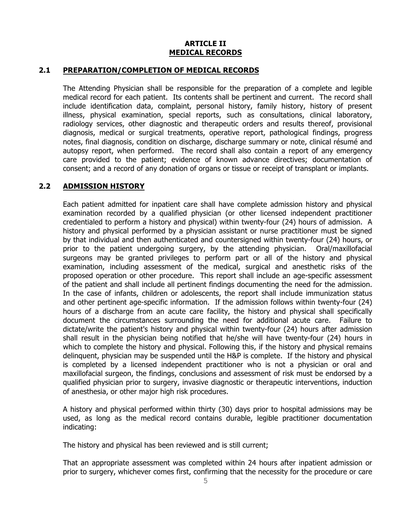#### **ARTICLE II MEDICAL RECORDS**

#### **2.1 PREPARATION/COMPLETION OF MEDICAL RECORDS**

The Attending Physician shall be responsible for the preparation of a complete and legible medical record for each patient. Its contents shall be pertinent and current. The record shall include identification data, complaint, personal history, family history, history of present illness, physical examination, special reports, such as consultations, clinical laboratory, radiology services, other diagnostic and therapeutic orders and results thereof, provisional diagnosis, medical or surgical treatments, operative report, pathological findings, progress notes, final diagnosis, condition on discharge, discharge summary or note, clinical résumé and autopsy report, when performed. The record shall also contain a report of any emergency care provided to the patient; evidence of known advance directives; documentation of consent; and a record of any donation of organs or tissue or receipt of transplant or implants.

### **2.2 ADMISSION HISTORY**

Each patient admitted for inpatient care shall have complete admission history and physical examination recorded by a qualified physician (or other licensed independent practitioner credentialed to perform a history and physical) within twenty-four (24) hours of admission. A history and physical performed by a physician assistant or nurse practitioner must be signed by that individual and then authenticated and countersigned within twenty-four (24) hours, or prior to the patient undergoing surgery, by the attending physician. Oral/maxillofacial surgeons may be granted privileges to perform part or all of the history and physical examination, including assessment of the medical, surgical and anesthetic risks of the proposed operation or other procedure. This report shall include an age-specific assessment of the patient and shall include all pertinent findings documenting the need for the admission. In the case of infants, children or adolescents, the report shall include immunization status and other pertinent age-specific information. If the admission follows within twenty-four (24) hours of a discharge from an acute care facility, the history and physical shall specifically document the circumstances surrounding the need for additional acute care. Failure to dictate/write the patient's history and physical within twenty-four (24) hours after admission shall result in the physician being notified that he/she will have twenty-four (24) hours in which to complete the history and physical. Following this, if the history and physical remains delinquent, physician may be suspended until the H&P is complete. If the history and physical is completed by a licensed independent practitioner who is not a physician or oral and maxillofacial surgeon, the findings, conclusions and assessment of risk must be endorsed by a qualified physician prior to surgery, invasive diagnostic or therapeutic interventions, induction of anesthesia, or other major high risk procedures.

A history and physical performed within thirty (30) days prior to hospital admissions may be used, as long as the medical record contains durable, legible practitioner documentation indicating:

The history and physical has been reviewed and is still current;

That an appropriate assessment was completed within 24 hours after inpatient admission or prior to surgery, whichever comes first, confirming that the necessity for the procedure or care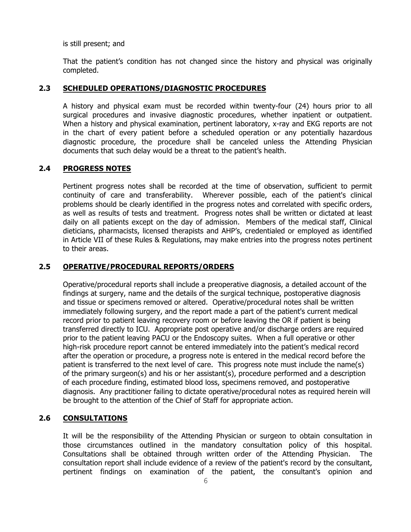is still present; and

That the patient's condition has not changed since the history and physical was originally completed.

### **2.3 SCHEDULED OPERATIONS/DIAGNOSTIC PROCEDURES**

A history and physical exam must be recorded within twenty-four (24) hours prior to all surgical procedures and invasive diagnostic procedures, whether inpatient or outpatient. When a history and physical examination, pertinent laboratory, x-ray and EKG reports are not in the chart of every patient before a scheduled operation or any potentially hazardous diagnostic procedure, the procedure shall be canceled unless the Attending Physician documents that such delay would be a threat to the patient's health.

#### **2.4 PROGRESS NOTES**

Pertinent progress notes shall be recorded at the time of observation, sufficient to permit continuity of care and transferability. Wherever possible, each of the patient's clinical problems should be clearly identified in the progress notes and correlated with specific orders, as well as results of tests and treatment. Progress notes shall be written or dictated at least daily on all patients except on the day of admission. Members of the medical staff, Clinical dieticians, pharmacists, licensed therapists and AHP's, credentialed or employed as identified in Article VII of these Rules & Regulations, may make entries into the progress notes pertinent to their areas.

#### **2.5 OPERATIVE/PROCEDURAL REPORTS/ORDERS**

Operative/procedural reports shall include a preoperative diagnosis, a detailed account of the findings at surgery, name and the details of the surgical technique, postoperative diagnosis and tissue or specimens removed or altered. Operative/procedural notes shall be written immediately following surgery, and the report made a part of the patient's current medical record prior to patient leaving recovery room or before leaving the OR if patient is being transferred directly to ICU. Appropriate post operative and/or discharge orders are required prior to the patient leaving PACU or the Endoscopy suites. When a full operative or other high-risk procedure report cannot be entered immediately into the patient's medical record after the operation or procedure, a progress note is entered in the medical record before the patient is transferred to the next level of care. This progress note must include the name(s) of the primary surgeon(s) and his or her assistant(s), procedure performed and a description of each procedure finding, estimated blood loss, specimens removed, and postoperative diagnosis. Any practitioner failing to dictate operative/procedural notes as required herein will be brought to the attention of the Chief of Staff for appropriate action.

# **2.6 CONSULTATIONS**

It will be the responsibility of the Attending Physician or surgeon to obtain consultation in those circumstances outlined in the mandatory consultation policy of this hospital. Consultations shall be obtained through written order of the Attending Physician. The consultation report shall include evidence of a review of the patient's record by the consultant, pertinent findings on examination of the patient, the consultant's opinion and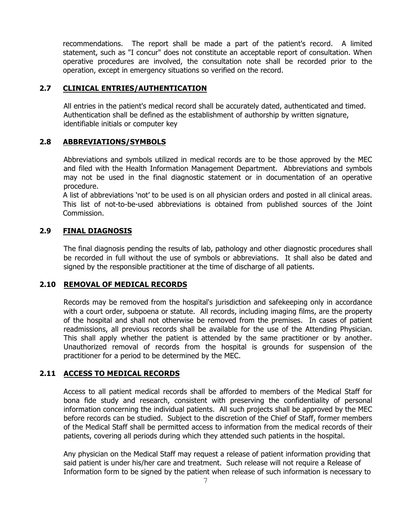recommendations. The report shall be made a part of the patient's record. A limited statement, such as "I concur" does not constitute an acceptable report of consultation. When operative procedures are involved, the consultation note shall be recorded prior to the operation, except in emergency situations so verified on the record.

### **2.7 CLINICAL ENTRIES/AUTHENTICATION**

All entries in the patient's medical record shall be accurately dated, authenticated and timed. Authentication shall be defined as the establishment of authorship by written signature, identifiable initials or computer key

## **2.8 ABBREVIATIONS/SYMBOLS**

Abbreviations and symbols utilized in medical records are to be those approved by the MEC and filed with the Health Information Management Department. Abbreviations and symbols may not be used in the final diagnostic statement or in documentation of an operative procedure.

A list of abbreviations 'not' to be used is on all physician orders and posted in all clinical areas. This list of not-to-be-used abbreviations is obtained from published sources of the Joint Commission.

#### **2.9 FINAL DIAGNOSIS**

The final diagnosis pending the results of lab, pathology and other diagnostic procedures shall be recorded in full without the use of symbols or abbreviations. It shall also be dated and signed by the responsible practitioner at the time of discharge of all patients.

#### **2.10 REMOVAL OF MEDICAL RECORDS**

Records may be removed from the hospital's jurisdiction and safekeeping only in accordance with a court order, subpoena or statute. All records, including imaging films, are the property of the hospital and shall not otherwise be removed from the premises. In cases of patient readmissions, all previous records shall be available for the use of the Attending Physician. This shall apply whether the patient is attended by the same practitioner or by another. Unauthorized removal of records from the hospital is grounds for suspension of the practitioner for a period to be determined by the MEC.

#### **2.11 ACCESS TO MEDICAL RECORDS**

Access to all patient medical records shall be afforded to members of the Medical Staff for bona fide study and research, consistent with preserving the confidentiality of personal information concerning the individual patients. All such projects shall be approved by the MEC before records can be studied. Subject to the discretion of the Chief of Staff, former members of the Medical Staff shall be permitted access to information from the medical records of their patients, covering all periods during which they attended such patients in the hospital.

Any physician on the Medical Staff may request a release of patient information providing that said patient is under his/her care and treatment. Such release will not require a Release of Information form to be signed by the patient when release of such information is necessary to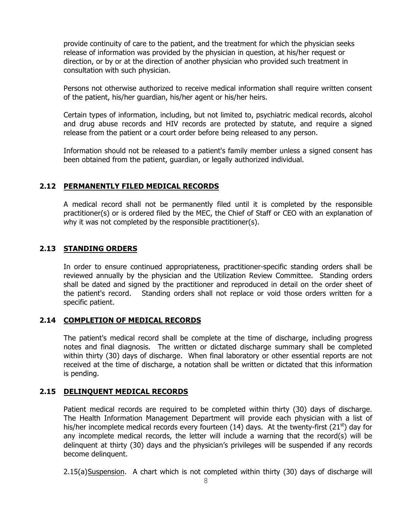provide continuity of care to the patient, and the treatment for which the physician seeks release of information was provided by the physician in question, at his/her request or direction, or by or at the direction of another physician who provided such treatment in consultation with such physician.

Persons not otherwise authorized to receive medical information shall require written consent of the patient, his/her guardian, his/her agent or his/her heirs.

Certain types of information, including, but not limited to, psychiatric medical records, alcohol and drug abuse records and HIV records are protected by statute, and require a signed release from the patient or a court order before being released to any person.

Information should not be released to a patient's family member unless a signed consent has been obtained from the patient, guardian, or legally authorized individual.

#### **2.12 PERMANENTLY FILED MEDICAL RECORDS**

A medical record shall not be permanently filed until it is completed by the responsible practitioner(s) or is ordered filed by the MEC, the Chief of Staff or CEO with an explanation of why it was not completed by the responsible practitioner(s).

### **2.13 STANDING ORDERS**

In order to ensure continued appropriateness, practitioner-specific standing orders shall be reviewed annually by the physician and the Utilization Review Committee. Standing orders shall be dated and signed by the practitioner and reproduced in detail on the order sheet of the patient's record. Standing orders shall not replace or void those orders written for a specific patient.

#### **2.14 COMPLETION OF MEDICAL RECORDS**

The patient's medical record shall be complete at the time of discharge, including progress notes and final diagnosis. The written or dictated discharge summary shall be completed within thirty (30) days of discharge. When final laboratory or other essential reports are not received at the time of discharge, a notation shall be written or dictated that this information is pending.

### **2.15 DELINQUENT MEDICAL RECORDS**

Patient medical records are required to be completed within thirty (30) days of discharge. The Health Information Management Department will provide each physician with a list of his/her incomplete medical records every fourteen (14) days. At the twenty-first (21<sup>st</sup>) day for any incomplete medical records, the letter will include a warning that the record(s) will be delinquent at thirty (30) days and the physician's privileges will be suspended if any records become delinquent.

2.15(a)Suspension. A chart which is not completed within thirty (30) days of discharge will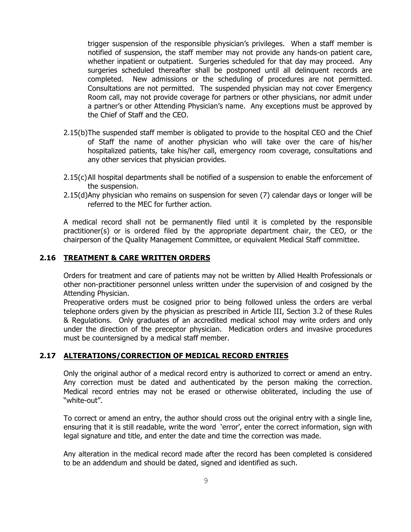trigger suspension of the responsible physician's privileges. When a staff member is notified of suspension, the staff member may not provide any hands-on patient care, whether inpatient or outpatient. Surgeries scheduled for that day may proceed. Any surgeries scheduled thereafter shall be postponed until all delinquent records are completed. New admissions or the scheduling of procedures are not permitted. Consultations are not permitted. The suspended physician may not cover Emergency Room call, may not provide coverage for partners or other physicians, nor admit under a partner's or other Attending Physician's name. Any exceptions must be approved by the Chief of Staff and the CEO.

- 2.15(b)The suspended staff member is obligated to provide to the hospital CEO and the Chief of Staff the name of another physician who will take over the care of his/her hospitalized patients, take his/her call, emergency room coverage, consultations and any other services that physician provides.
- 2.15(c)All hospital departments shall be notified of a suspension to enable the enforcement of the suspension.
- 2.15(d)Any physician who remains on suspension for seven (7) calendar days or longer will be referred to the MEC for further action.

A medical record shall not be permanently filed until it is completed by the responsible practitioner(s) or is ordered filed by the appropriate department chair, the CEO, or the chairperson of the Quality Management Committee, or equivalent Medical Staff committee.

#### **2.16 TREATMENT & CARE WRITTEN ORDERS**

Orders for treatment and care of patients may not be written by Allied Health Professionals or other non-practitioner personnel unless written under the supervision of and cosigned by the Attending Physician.

Preoperative orders must be cosigned prior to being followed unless the orders are verbal telephone orders given by the physician as prescribed in Article III, Section 3.2 of these Rules & Regulations. Only graduates of an accredited medical school may write orders and only under the direction of the preceptor physician. Medication orders and invasive procedures must be countersigned by a medical staff member.

#### **2.17 ALTERATIONS/CORRECTION OF MEDICAL RECORD ENTRIES**

Only the original author of a medical record entry is authorized to correct or amend an entry. Any correction must be dated and authenticated by the person making the correction. Medical record entries may not be erased or otherwise obliterated, including the use of "white-out".

To correct or amend an entry, the author should cross out the original entry with a single line, ensuring that it is still readable, write the word 'error', enter the correct information, sign with legal signature and title, and enter the date and time the correction was made.

Any alteration in the medical record made after the record has been completed is considered to be an addendum and should be dated, signed and identified as such.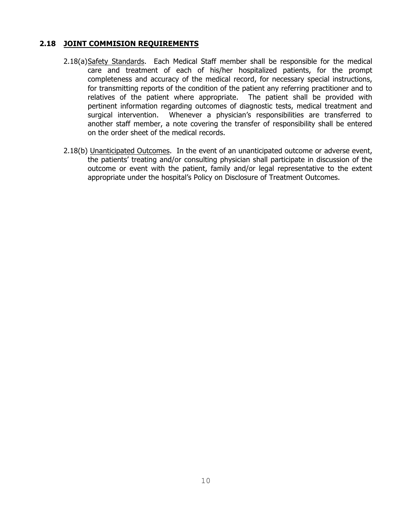## **2.18 JOINT COMMISION REQUIREMENTS**

- 2.18(a)Safety Standards. Each Medical Staff member shall be responsible for the medical care and treatment of each of his/her hospitalized patients, for the prompt completeness and accuracy of the medical record, for necessary special instructions, for transmitting reports of the condition of the patient any referring practitioner and to relatives of the patient where appropriate. The patient shall be provided with pertinent information regarding outcomes of diagnostic tests, medical treatment and surgical intervention. Whenever a physician's responsibilities are transferred to another staff member, a note covering the transfer of responsibility shall be entered on the order sheet of the medical records.
- 2.18(b) Unanticipated Outcomes. In the event of an unanticipated outcome or adverse event, the patients' treating and/or consulting physician shall participate in discussion of the outcome or event with the patient, family and/or legal representative to the extent appropriate under the hospital's Policy on Disclosure of Treatment Outcomes.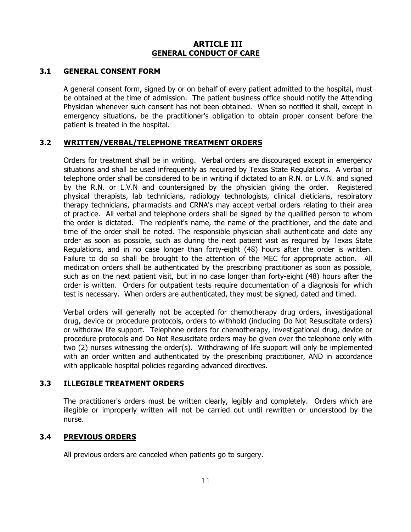# **ARTICLE III GENERAL CONDUCT OF CARE**

### **3.1 GENERAL CONSENT FORM**

A general consent form, signed by or on behalf of every patient admitted to the hospital, must be obtained at the time of admission. The patient business office should notify the Attending Physician whenever such consent has not been obtained. When so notified it shall, except in emergency situations, be the practitioner's obligation to obtain proper consent before the patient is treated in the hospital.

# **3.2 WRITTEN/VERBAL/TELEPHONE TREATMENT ORDERS**

Orders for treatment shall be in writing. Verbal orders are discouraged except in emergency situations and shall be used infrequently as required by Texas State Regulations. A verbal or telephone order shall be considered to be in writing if dictated to an R.N. or L.V.N. and signed by the R.N. or L.V.N and countersigned by the physician giving the order. Registered physical therapists, lab technicians, radiology technologists, clinical dieticians, respiratory therapy technicians, pharmacists and CRNA's may accept verbal orders relating to their area of practice. All verbal and telephone orders shall be signed by the qualified person to whom the order is dictated. The recipient's name, the name of the practitioner, and the date and time of the order shall be noted. The responsible physician shall authenticate and date any order as soon as possible, such as during the next patient visit as required by Texas State Regulations, and in no case longer than forty-eight (48) hours after the order is written. Failure to do so shall be brought to the attention of the MEC for appropriate action. All medication orders shall be authenticated by the prescribing practitioner as soon as possible, such as on the next patient visit, but in no case longer than forty-eight (48) hours after the order is written. Orders for outpatient tests require documentation of a diagnosis for which test is necessary. When orders are authenticated, they must be signed, dated and timed.

Verbal orders will generally not be accepted for chemotherapy drug orders, investigational drug, device or procedure protocols, orders to withhold (including Do Not Resuscitate orders) or withdraw life support. Telephone orders for chemotherapy, investigational drug, device or procedure protocols and Do Not Resuscitate orders may be given over the telephone only with two (2) nurses witnessing the order(s). Withdrawing of life support will only be implemented with an order written and authenticated by the prescribing practitioner, AND in accordance with applicable hospital policies regarding advanced directives.

### **3.3 ILLEGIBLE TREATMENT ORDERS**

The practitioner's orders must be written clearly, legibly and completely. Orders which are illegible or improperly written will not be carried out until rewritten or understood by the nurse.

### **3.4 PREVIOUS ORDERS**

All previous orders are canceled when patients go to surgery.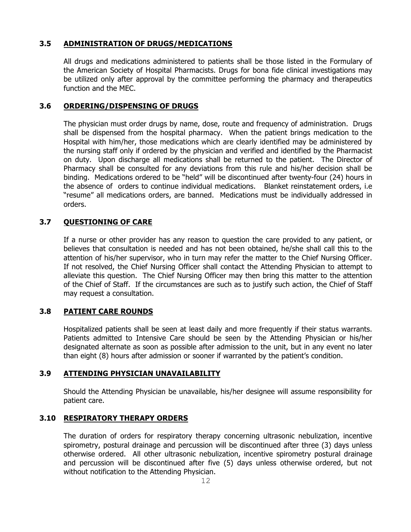### **3.5 ADMINISTRATION OF DRUGS/MEDICATIONS**

All drugs and medications administered to patients shall be those listed in the Formulary of the American Society of Hospital Pharmacists. Drugs for bona fide clinical investigations may be utilized only after approval by the committee performing the pharmacy and therapeutics function and the MEC.

### **3.6 ORDERING/DISPENSING OF DRUGS**

The physician must order drugs by name, dose, route and frequency of administration. Drugs shall be dispensed from the hospital pharmacy. When the patient brings medication to the Hospital with him/her, those medications which are clearly identified may be administered by the nursing staff only if ordered by the physician and verified and identified by the Pharmacist on duty. Upon discharge all medications shall be returned to the patient. The Director of Pharmacy shall be consulted for any deviations from this rule and his/her decision shall be binding. Medications ordered to be "held" will be discontinued after twenty-four (24) hours in the absence of orders to continue individual medications. Blanket reinstatement orders, i.e "resume" all medications orders, are banned. Medications must be individually addressed in orders.

#### **3.7 QUESTIONING OF CARE**

If a nurse or other provider has any reason to question the care provided to any patient, or believes that consultation is needed and has not been obtained, he/she shall call this to the attention of his/her supervisor, who in turn may refer the matter to the Chief Nursing Officer. If not resolved, the Chief Nursing Officer shall contact the Attending Physician to attempt to alleviate this question. The Chief Nursing Officer may then bring this matter to the attention of the Chief of Staff. If the circumstances are such as to justify such action, the Chief of Staff may request a consultation.

### **3.8 PATIENT CARE ROUNDS**

Hospitalized patients shall be seen at least daily and more frequently if their status warrants. Patients admitted to Intensive Care should be seen by the Attending Physician or his/her designated alternate as soon as possible after admission to the unit, but in any event no later than eight (8) hours after admission or sooner if warranted by the patient's condition.

#### **3.9 ATTENDING PHYSICIAN UNAVAILABILITY**

Should the Attending Physician be unavailable, his/her designee will assume responsibility for patient care.

#### **3.10 RESPIRATORY THERAPY ORDERS**

The duration of orders for respiratory therapy concerning ultrasonic nebulization, incentive spirometry, postural drainage and percussion will be discontinued after three (3) days unless otherwise ordered. All other ultrasonic nebulization, incentive spirometry postural drainage and percussion will be discontinued after five (5) days unless otherwise ordered, but not without notification to the Attending Physician.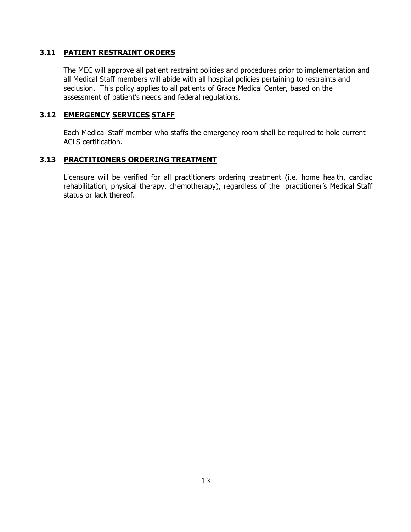### **3.11 PATIENT RESTRAINT ORDERS**

The MEC will approve all patient restraint policies and procedures prior to implementation and all Medical Staff members will abide with all hospital policies pertaining to restraints and seclusion. This policy applies to all patients of Grace Medical Center, based on the assessment of patient's needs and federal regulations.

#### **3.12 EMERGENCY SERVICES STAFF**

Each Medical Staff member who staffs the emergency room shall be required to hold current ACLS certification.

#### **3.13 PRACTITIONERS ORDERING TREATMENT**

Licensure will be verified for all practitioners ordering treatment (i.e. home health, cardiac rehabilitation, physical therapy, chemotherapy), regardless of the practitioner's Medical Staff status or lack thereof.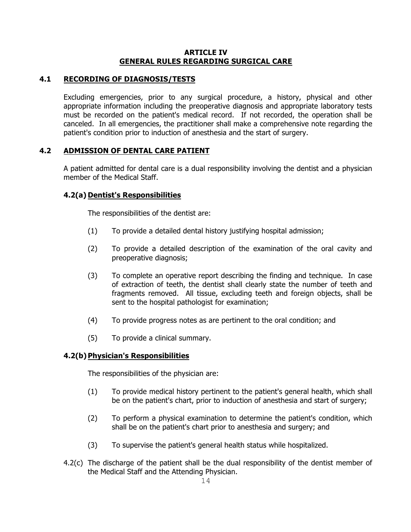#### **ARTICLE IV GENERAL RULES REGARDING SURGICAL CARE**

# **4.1 RECORDING OF DIAGNOSIS/TESTS**

Excluding emergencies, prior to any surgical procedure, a history, physical and other appropriate information including the preoperative diagnosis and appropriate laboratory tests must be recorded on the patient's medical record. If not recorded, the operation shall be canceled. In all emergencies, the practitioner shall make a comprehensive note regarding the patient's condition prior to induction of anesthesia and the start of surgery.

# **4.2 ADMISSION OF DENTAL CARE PATIENT**

A patient admitted for dental care is a dual responsibility involving the dentist and a physician member of the Medical Staff.

# **4.2(a) Dentist's Responsibilities**

The responsibilities of the dentist are:

- (1) To provide a detailed dental history justifying hospital admission;
- (2) To provide a detailed description of the examination of the oral cavity and preoperative diagnosis;
- (3) To complete an operative report describing the finding and technique. In case of extraction of teeth, the dentist shall clearly state the number of teeth and fragments removed. All tissue, excluding teeth and foreign objects, shall be sent to the hospital pathologist for examination;
- (4) To provide progress notes as are pertinent to the oral condition; and
- (5) To provide a clinical summary.

### **4.2(b)Physician's Responsibilities**

The responsibilities of the physician are:

- (1) To provide medical history pertinent to the patient's general health, which shall be on the patient's chart, prior to induction of anesthesia and start of surgery;
- (2) To perform a physical examination to determine the patient's condition, which shall be on the patient's chart prior to anesthesia and surgery; and
- (3) To supervise the patient's general health status while hospitalized.
- 4.2(c) The discharge of the patient shall be the dual responsibility of the dentist member of the Medical Staff and the Attending Physician.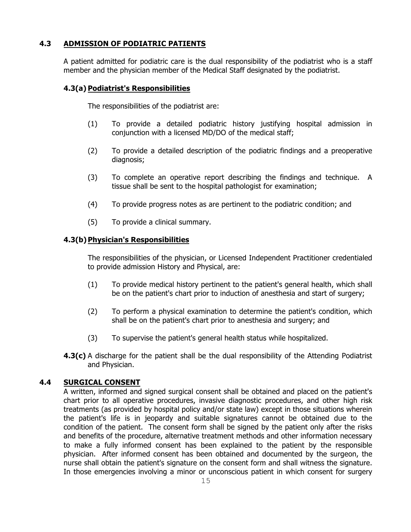# **4.3 ADMISSION OF PODIATRIC PATIENTS**

A patient admitted for podiatric care is the dual responsibility of the podiatrist who is a staff member and the physician member of the Medical Staff designated by the podiatrist.

# **4.3(a) Podiatrist's Responsibilities**

The responsibilities of the podiatrist are:

- (1) To provide a detailed podiatric history justifying hospital admission in conjunction with a licensed MD/DO of the medical staff;
- (2) To provide a detailed description of the podiatric findings and a preoperative diagnosis;
- (3) To complete an operative report describing the findings and technique. A tissue shall be sent to the hospital pathologist for examination;
- (4) To provide progress notes as are pertinent to the podiatric condition; and
- (5) To provide a clinical summary.

#### **4.3(b)Physician's Responsibilities**

The responsibilities of the physician, or Licensed Independent Practitioner credentialed to provide admission History and Physical, are:

- (1) To provide medical history pertinent to the patient's general health, which shall be on the patient's chart prior to induction of anesthesia and start of surgery;
- (2) To perform a physical examination to determine the patient's condition, which shall be on the patient's chart prior to anesthesia and surgery; and
- (3) To supervise the patient's general health status while hospitalized.
- **4.3(c)** A discharge for the patient shall be the dual responsibility of the Attending Podiatrist and Physician.

### **4.4 SURGICAL CONSENT**

A written, informed and signed surgical consent shall be obtained and placed on the patient's chart prior to all operative procedures, invasive diagnostic procedures, and other high risk treatments (as provided by hospital policy and/or state law) except in those situations wherein the patient's life is in jeopardy and suitable signatures cannot be obtained due to the condition of the patient. The consent form shall be signed by the patient only after the risks and benefits of the procedure, alternative treatment methods and other information necessary to make a fully informed consent has been explained to the patient by the responsible physician. After informed consent has been obtained and documented by the surgeon, the nurse shall obtain the patient's signature on the consent form and shall witness the signature. In those emergencies involving a minor or unconscious patient in which consent for surgery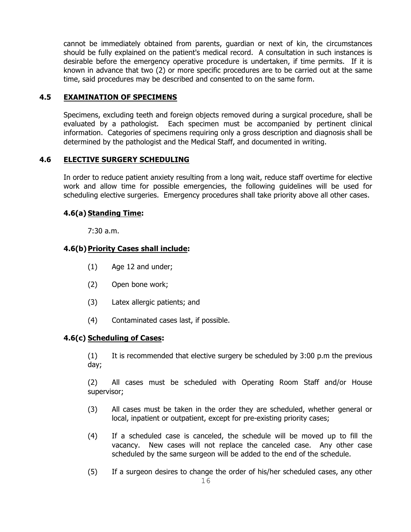cannot be immediately obtained from parents, guardian or next of kin, the circumstances should be fully explained on the patient's medical record. A consultation in such instances is desirable before the emergency operative procedure is undertaken, if time permits. If it is known in advance that two (2) or more specific procedures are to be carried out at the same time, said procedures may be described and consented to on the same form.

### **4.5 EXAMINATION OF SPECIMENS**

Specimens, excluding teeth and foreign objects removed during a surgical procedure, shall be evaluated by a pathologist. Each specimen must be accompanied by pertinent clinical information. Categories of specimens requiring only a gross description and diagnosis shall be determined by the pathologist and the Medical Staff, and documented in writing.

### **4.6 ELECTIVE SURGERY SCHEDULING**

In order to reduce patient anxiety resulting from a long wait, reduce staff overtime for elective work and allow time for possible emergencies, the following guidelines will be used for scheduling elective surgeries. Emergency procedures shall take priority above all other cases.

# **4.6(a) Standing Time:**

7:30 a.m.

# **4.6(b)Priority Cases shall include:**

- (1) Age 12 and under;
- (2) Open bone work;
- (3) Latex allergic patients; and
- (4) Contaminated cases last, if possible.

### **4.6(c) Scheduling of Cases:**

(1) It is recommended that elective surgery be scheduled by 3:00 p.m the previous day;

(2) All cases must be scheduled with Operating Room Staff and/or House supervisor;

- (3) All cases must be taken in the order they are scheduled, whether general or local, inpatient or outpatient, except for pre-existing priority cases;
- (4) If a scheduled case is canceled, the schedule will be moved up to fill the vacancy. New cases will not replace the canceled case. Any other case scheduled by the same surgeon will be added to the end of the schedule.
- (5) If a surgeon desires to change the order of his/her scheduled cases, any other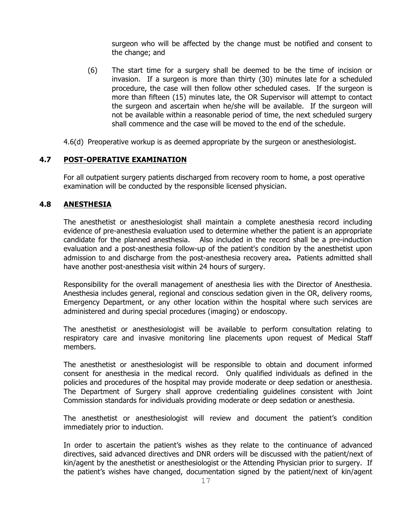surgeon who will be affected by the change must be notified and consent to the change; and

- (6) The start time for a surgery shall be deemed to be the time of incision or invasion. If a surgeon is more than thirty (30) minutes late for a scheduled procedure, the case will then follow other scheduled cases. If the surgeon is more than fifteen (15) minutes late, the OR Supervisor will attempt to contact the surgeon and ascertain when he/she will be available. If the surgeon will not be available within a reasonable period of time, the next scheduled surgery shall commence and the case will be moved to the end of the schedule.
- 4.6(d) Preoperative workup is as deemed appropriate by the surgeon or anesthesiologist.

#### **4.7 POST-OPERATIVE EXAMINATION**

For all outpatient surgery patients discharged from recovery room to home, a post operative examination will be conducted by the responsible licensed physician.

#### **4.8 ANESTHESIA**

The anesthetist or anesthesiologist shall maintain a complete anesthesia record including evidence of pre-anesthesia evaluation used to determine whether the patient is an appropriate candidate for the planned anesthesia. Also included in the record shall be a pre-induction evaluation and a post-anesthesia follow-up of the patient's condition by the anesthetist upon admission to and discharge from the post-anesthesia recovery area**.** Patients admitted shall have another post-anesthesia visit within 24 hours of surgery.

Responsibility for the overall management of anesthesia lies with the Director of Anesthesia. Anesthesia includes general, regional and conscious sedation given in the OR, delivery rooms, Emergency Department, or any other location within the hospital where such services are administered and during special procedures (imaging) or endoscopy.

The anesthetist or anesthesiologist will be available to perform consultation relating to respiratory care and invasive monitoring line placements upon request of Medical Staff members.

The anesthetist or anesthesiologist will be responsible to obtain and document informed consent for anesthesia in the medical record. Only qualified individuals as defined in the policies and procedures of the hospital may provide moderate or deep sedation or anesthesia. The Department of Surgery shall approve credentialing guidelines consistent with Joint Commission standards for individuals providing moderate or deep sedation or anesthesia.

The anesthetist or anesthesiologist will review and document the patient's condition immediately prior to induction.

In order to ascertain the patient's wishes as they relate to the continuance of advanced directives, said advanced directives and DNR orders will be discussed with the patient/next of kin/agent by the anesthetist or anesthesiologist or the Attending Physician prior to surgery. If the patient's wishes have changed, documentation signed by the patient/next of kin/agent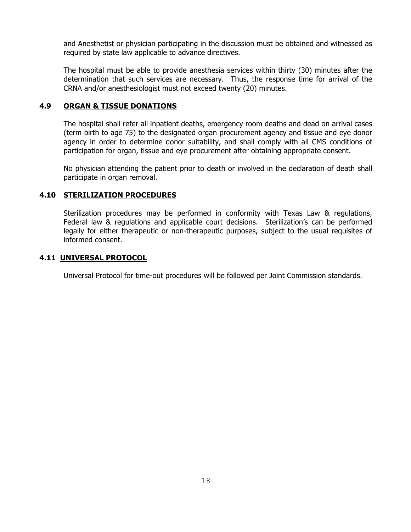and Anesthetist or physician participating in the discussion must be obtained and witnessed as required by state law applicable to advance directives.

The hospital must be able to provide anesthesia services within thirty (30) minutes after the determination that such services are necessary. Thus, the response time for arrival of the CRNA and/or anesthesiologist must not exceed twenty (20) minutes.

### **4.9 ORGAN & TISSUE DONATIONS**

The hospital shall refer all inpatient deaths, emergency room deaths and dead on arrival cases (term birth to age 75) to the designated organ procurement agency and tissue and eye donor agency in order to determine donor suitability, and shall comply with all CMS conditions of participation for organ, tissue and eye procurement after obtaining appropriate consent.

No physician attending the patient prior to death or involved in the declaration of death shall participate in organ removal.

# **4.10 STERILIZATION PROCEDURES**

Sterilization procedures may be performed in conformity with Texas Law & regulations, Federal law & regulations and applicable court decisions. Sterilization's can be performed legally for either therapeutic or non-therapeutic purposes, subject to the usual requisites of informed consent.

#### **4.11 UNIVERSAL PROTOCOL**

Universal Protocol for time-out procedures will be followed per Joint Commission standards.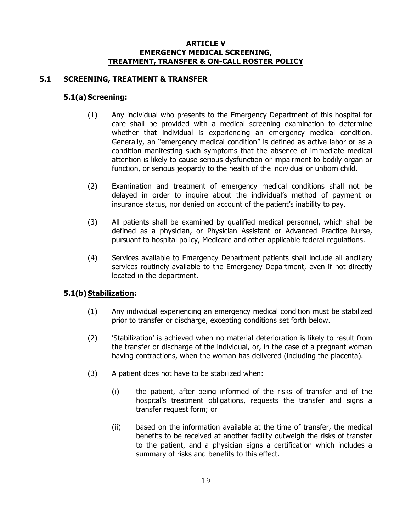#### **ARTICLE V EMERGENCY MEDICAL SCREENING, TREATMENT, TRANSFER & ON-CALL ROSTER POLICY**

### **5.1 SCREENING, TREATMENT & TRANSFER**

## **5.1(a) Screening:**

- (1) Any individual who presents to the Emergency Department of this hospital for care shall be provided with a medical screening examination to determine whether that individual is experiencing an emergency medical condition. Generally, an "emergency medical condition" is defined as active labor or as a condition manifesting such symptoms that the absence of immediate medical attention is likely to cause serious dysfunction or impairment to bodily organ or function, or serious jeopardy to the health of the individual or unborn child.
- (2) Examination and treatment of emergency medical conditions shall not be delayed in order to inquire about the individual's method of payment or insurance status, nor denied on account of the patient's inability to pay.
- (3) All patients shall be examined by qualified medical personnel, which shall be defined as a physician, or Physician Assistant or Advanced Practice Nurse, pursuant to hospital policy, Medicare and other applicable federal regulations.
- (4) Services available to Emergency Department patients shall include all ancillary services routinely available to the Emergency Department, even if not directly located in the department.

### **5.1(b)** Stabilization:

- (1) Any individual experiencing an emergency medical condition must be stabilized prior to transfer or discharge, excepting conditions set forth below.
- (2) 'Stabilization' is achieved when no material deterioration is likely to result from the transfer or discharge of the individual, or, in the case of a pregnant woman having contractions, when the woman has delivered (including the placenta).
- (3) A patient does not have to be stabilized when:
	- (i) the patient, after being informed of the risks of transfer and of the hospital's treatment obligations, requests the transfer and signs a transfer request form; or
	- (ii) based on the information available at the time of transfer, the medical benefits to be received at another facility outweigh the risks of transfer to the patient, and a physician signs a certification which includes a summary of risks and benefits to this effect.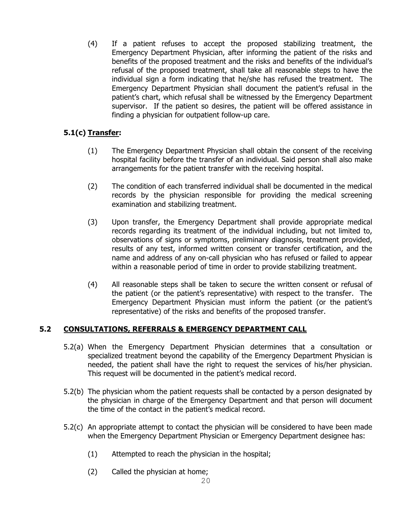(4) If a patient refuses to accept the proposed stabilizing treatment, the Emergency Department Physician, after informing the patient of the risks and benefits of the proposed treatment and the risks and benefits of the individual's refusal of the proposed treatment, shall take all reasonable steps to have the individual sign a form indicating that he/she has refused the treatment. The Emergency Department Physician shall document the patient's refusal in the patient's chart, which refusal shall be witnessed by the Emergency Department supervisor. If the patient so desires, the patient will be offered assistance in finding a physician for outpatient follow-up care.

# **5.1(c) Transfer:**

- (1) The Emergency Department Physician shall obtain the consent of the receiving hospital facility before the transfer of an individual. Said person shall also make arrangements for the patient transfer with the receiving hospital.
- (2) The condition of each transferred individual shall be documented in the medical records by the physician responsible for providing the medical screening examination and stabilizing treatment.
- (3) Upon transfer, the Emergency Department shall provide appropriate medical records regarding its treatment of the individual including, but not limited to, observations of signs or symptoms, preliminary diagnosis, treatment provided, results of any test, informed written consent or transfer certification, and the name and address of any on-call physician who has refused or failed to appear within a reasonable period of time in order to provide stabilizing treatment.
- (4) All reasonable steps shall be taken to secure the written consent or refusal of the patient (or the patient's representative) with respect to the transfer. The Emergency Department Physician must inform the patient (or the patient's representative) of the risks and benefits of the proposed transfer.

# **5.2 CONSULTATIONS, REFERRALS & EMERGENCY DEPARTMENT CALL**

- 5.2(a) When the Emergency Department Physician determines that a consultation or specialized treatment beyond the capability of the Emergency Department Physician is needed, the patient shall have the right to request the services of his/her physician. This request will be documented in the patient's medical record.
- 5.2(b) The physician whom the patient requests shall be contacted by a person designated by the physician in charge of the Emergency Department and that person will document the time of the contact in the patient's medical record.
- 5.2(c) An appropriate attempt to contact the physician will be considered to have been made when the Emergency Department Physician or Emergency Department designee has:
	- (1) Attempted to reach the physician in the hospital;
	- (2) Called the physician at home;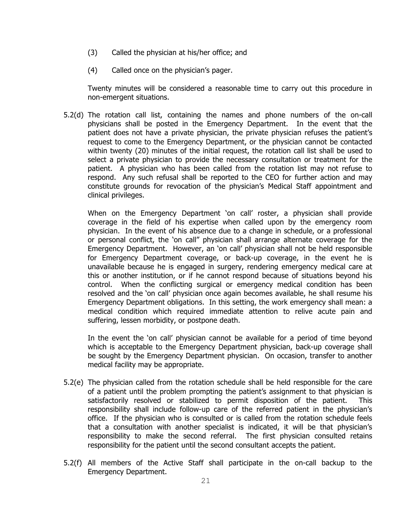- (3) Called the physician at his/her office; and
- (4) Called once on the physician's pager.

Twenty minutes will be considered a reasonable time to carry out this procedure in non-emergent situations.

5.2(d) The rotation call list, containing the names and phone numbers of the on-call physicians shall be posted in the Emergency Department. In the event that the patient does not have a private physician, the private physician refuses the patient's request to come to the Emergency Department, or the physician cannot be contacted within twenty (20) minutes of the initial request, the rotation call list shall be used to select a private physician to provide the necessary consultation or treatment for the patient. A physician who has been called from the rotation list may not refuse to respond. Any such refusal shall be reported to the CEO for further action and may constitute grounds for revocation of the physician's Medical Staff appointment and clinical privileges.

When on the Emergency Department 'on call' roster, a physician shall provide coverage in the field of his expertise when called upon by the emergency room physician. In the event of his absence due to a change in schedule, or a professional or personal conflict, the 'on call" physician shall arrange alternate coverage for the Emergency Department. However, an 'on call' physician shall not be held responsible for Emergency Department coverage, or back-up coverage, in the event he is unavailable because he is engaged in surgery, rendering emergency medical care at this or another institution, or if he cannot respond because of situations beyond his control. When the conflicting surgical or emergency medical condition has been resolved and the 'on call' physician once again becomes available, he shall resume his Emergency Department obligations. In this setting, the work emergency shall mean: a medical condition which required immediate attention to relive acute pain and suffering, lessen morbidity, or postpone death.

In the event the 'on call' physician cannot be available for a period of time beyond which is acceptable to the Emergency Department physician, back-up coverage shall be sought by the Emergency Department physician. On occasion, transfer to another medical facility may be appropriate.

- 5.2(e) The physician called from the rotation schedule shall be held responsible for the care of a patient until the problem prompting the patient's assignment to that physician is satisfactorily resolved or stabilized to permit disposition of the patient. This responsibility shall include follow-up care of the referred patient in the physician's office. If the physician who is consulted or is called from the rotation schedule feels that a consultation with another specialist is indicated, it will be that physician's responsibility to make the second referral. The first physician consulted retains responsibility for the patient until the second consultant accepts the patient.
- 5.2(f) All members of the Active Staff shall participate in the on-call backup to the Emergency Department.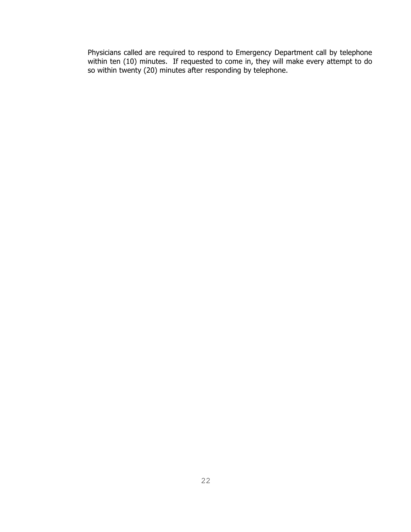Physicians called are required to respond to Emergency Department call by telephone within ten (10) minutes. If requested to come in, they will make every attempt to do so within twenty (20) minutes after responding by telephone.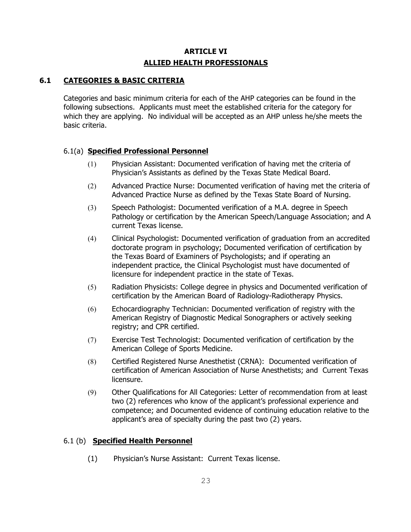# **ARTICLE VI ALLIED HEALTH PROFESSIONALS**

# **6.1 CATEGORIES & BASIC CRITERIA**

Categories and basic minimum criteria for each of the AHP categories can be found in the following subsections. Applicants must meet the established criteria for the category for which they are applying. No individual will be accepted as an AHP unless he/she meets the basic criteria.

# 6.1(a) **Specified Professional Personnel**

- (1) Physician Assistant: Documented verification of having met the criteria of Physician's Assistants as defined by the Texas State Medical Board.
- (2) Advanced Practice Nurse: Documented verification of having met the criteria of Advanced Practice Nurse as defined by the Texas State Board of Nursing.
- (3) Speech Pathologist: Documented verification of a M.A. degree in Speech Pathology or certification by the American Speech/Language Association; and A current Texas license.
- (4) Clinical Psychologist: Documented verification of graduation from an accredited doctorate program in psychology; Documented verification of certification by the Texas Board of Examiners of Psychologists; and if operating an independent practice, the Clinical Psychologist must have documented of licensure for independent practice in the state of Texas.
- (5) Radiation Physicists: College degree in physics and Documented verification of certification by the American Board of Radiology-Radiotherapy Physics.
- (6) Echocardiography Technician: Documented verification of registry with the American Registry of Diagnostic Medical Sonographers or actively seeking registry; and CPR certified.
- (7) Exercise Test Technologist: Documented verification of certification by the American College of Sports Medicine.
- (8) Certified Registered Nurse Anesthetist (CRNA): Documented verification of certification of American Association of Nurse Anesthetists; and Current Texas licensure.
- (9) Other Qualifications for All Categories: Letter of recommendation from at least two (2) references who know of the applicant's professional experience and competence; and Documented evidence of continuing education relative to the applicant's area of specialty during the past two (2) years.

### 6.1 (b) **Specified Health Personnel**

(1) Physician's Nurse Assistant: Current Texas license.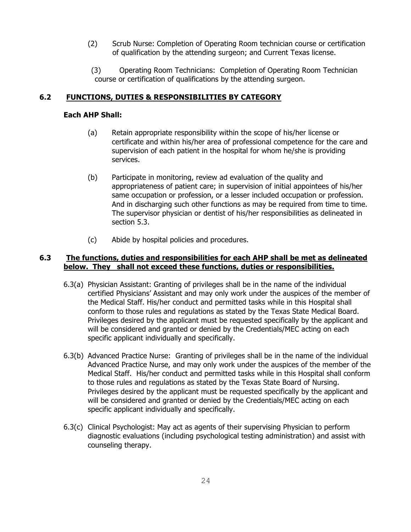- (2) Scrub Nurse: Completion of Operating Room technician course or certification of qualification by the attending surgeon; and Current Texas license.
- (3) Operating Room Technicians: Completion of Operating Room Technician course or certification of qualifications by the attending surgeon.

### **6.2 FUNCTIONS, DUTIES & RESPONSIBILITIES BY CATEGORY**

#### **Each AHP Shall:**

- (a) Retain appropriate responsibility within the scope of his/her license or certificate and within his/her area of professional competence for the care and supervision of each patient in the hospital for whom he/she is providing services.
- (b) Participate in monitoring, review ad evaluation of the quality and appropriateness of patient care; in supervision of initial appointees of his/her same occupation or profession, or a lesser included occupation or profession. And in discharging such other functions as may be required from time to time. The supervisor physician or dentist of his/her responsibilities as delineated in section 5.3.
- (c) Abide by hospital policies and procedures.

### **6.3 The functions, duties and responsibilities for each AHP shall be met as delineated below. They shall not exceed these functions, duties or responsibilities.**

- 6.3(a) Physician Assistant: Granting of privileges shall be in the name of the individual certified Physicians' Assistant and may only work under the auspices of the member of the Medical Staff. His/her conduct and permitted tasks while in this Hospital shall conform to those rules and regulations as stated by the Texas State Medical Board. Privileges desired by the applicant must be requested specifically by the applicant and will be considered and granted or denied by the Credentials/MEC acting on each specific applicant individually and specifically.
- 6.3(b) Advanced Practice Nurse: Granting of privileges shall be in the name of the individual Advanced Practice Nurse, and may only work under the auspices of the member of the Medical Staff. His/her conduct and permitted tasks while in this Hospital shall conform to those rules and regulations as stated by the Texas State Board of Nursing. Privileges desired by the applicant must be requested specifically by the applicant and will be considered and granted or denied by the Credentials/MEC acting on each specific applicant individually and specifically.
- 6.3(c) Clinical Psychologist: May act as agents of their supervising Physician to perform diagnostic evaluations (including psychological testing administration) and assist with counseling therapy.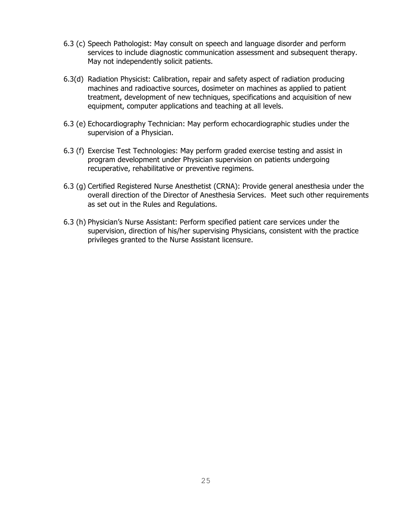- 6.3 (c) Speech Pathologist: May consult on speech and language disorder and perform services to include diagnostic communication assessment and subsequent therapy. May not independently solicit patients.
- 6.3(d) Radiation Physicist: Calibration, repair and safety aspect of radiation producing machines and radioactive sources, dosimeter on machines as applied to patient treatment, development of new techniques, specifications and acquisition of new equipment, computer applications and teaching at all levels.
- 6.3 (e) Echocardiography Technician: May perform echocardiographic studies under the supervision of a Physician.
- 6.3 (f) Exercise Test Technologies: May perform graded exercise testing and assist in program development under Physician supervision on patients undergoing recuperative, rehabilitative or preventive regimens.
- 6.3 (g) Certified Registered Nurse Anesthetist (CRNA): Provide general anesthesia under the overall direction of the Director of Anesthesia Services. Meet such other requirements as set out in the Rules and Regulations.
- 6.3 (h) Physician's Nurse Assistant: Perform specified patient care services under the supervision, direction of his/her supervising Physicians, consistent with the practice privileges granted to the Nurse Assistant licensure.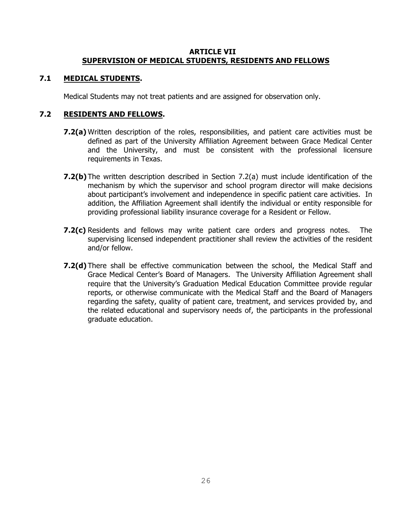### **ARTICLE VII SUPERVISION OF MEDICAL STUDENTS, RESIDENTS AND FELLOWS**

# **7.1 MEDICAL STUDENTS.**

Medical Students may not treat patients and are assigned for observation only.

# **7.2 RESIDENTS AND FELLOWS.**

- **7.2(a)** Written description of the roles, responsibilities, and patient care activities must be defined as part of the University Affiliation Agreement between Grace Medical Center and the University, and must be consistent with the professional licensure requirements in Texas.
- **7.2(b)** The written description described in Section 7.2(a) must include identification of the mechanism by which the supervisor and school program director will make decisions about participant's involvement and independence in specific patient care activities. In addition, the Affiliation Agreement shall identify the individual or entity responsible for providing professional liability insurance coverage for a Resident or Fellow.
- **7.2(c)** Residents and fellows may write patient care orders and progress notes. The supervising licensed independent practitioner shall review the activities of the resident and/or fellow.
- **7.2(d)** There shall be effective communication between the school, the Medical Staff and Grace Medical Center's Board of Managers. The University Affiliation Agreement shall require that the University's Graduation Medical Education Committee provide regular reports, or otherwise communicate with the Medical Staff and the Board of Managers regarding the safety, quality of patient care, treatment, and services provided by, and the related educational and supervisory needs of, the participants in the professional graduate education.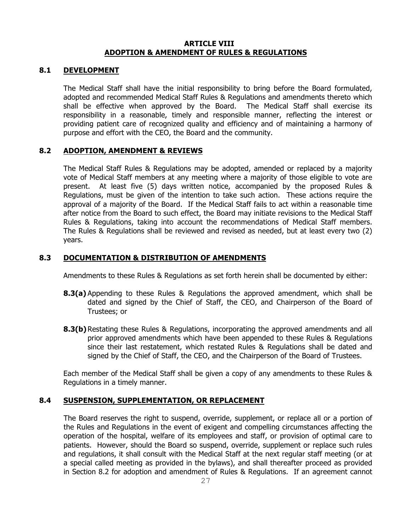#### **ARTICLE VIII ADOPTION & AMENDMENT OF RULES & REGULATIONS**

#### **8.1 DEVELOPMENT**

The Medical Staff shall have the initial responsibility to bring before the Board formulated, adopted and recommended Medical Staff Rules & Regulations and amendments thereto which shall be effective when approved by the Board. The Medical Staff shall exercise its responsibility in a reasonable, timely and responsible manner, reflecting the interest or providing patient care of recognized quality and efficiency and of maintaining a harmony of purpose and effort with the CEO, the Board and the community.

#### **8.2 ADOPTION, AMENDMENT & REVIEWS**

The Medical Staff Rules & Regulations may be adopted, amended or replaced by a majority vote of Medical Staff members at any meeting where a majority of those eligible to vote are present. At least five (5) days written notice, accompanied by the proposed Rules & Regulations, must be given of the intention to take such action. These actions require the approval of a majority of the Board. If the Medical Staff fails to act within a reasonable time after notice from the Board to such effect, the Board may initiate revisions to the Medical Staff Rules & Regulations, taking into account the recommendations of Medical Staff members. The Rules & Regulations shall be reviewed and revised as needed, but at least every two (2) years.

#### **8.3 DOCUMENTATION & DISTRIBUTION OF AMENDMENTS**

Amendments to these Rules & Regulations as set forth herein shall be documented by either:

- **8.3(a)** Appending to these Rules & Regulations the approved amendment, which shall be dated and signed by the Chief of Staff, the CEO, and Chairperson of the Board of Trustees; or
- **8.3(b)** Restating these Rules & Regulations, incorporating the approved amendments and all prior approved amendments which have been appended to these Rules & Regulations since their last restatement, which restated Rules & Regulations shall be dated and signed by the Chief of Staff, the CEO, and the Chairperson of the Board of Trustees.

Each member of the Medical Staff shall be given a copy of any amendments to these Rules & Regulations in a timely manner.

#### **8.4 SUSPENSION, SUPPLEMENTATION, OR REPLACEMENT**

The Board reserves the right to suspend, override, supplement, or replace all or a portion of the Rules and Regulations in the event of exigent and compelling circumstances affecting the operation of the hospital, welfare of its employees and staff, or provision of optimal care to patients. However, should the Board so suspend, override, supplement or replace such rules and regulations, it shall consult with the Medical Staff at the next regular staff meeting (or at a special called meeting as provided in the bylaws), and shall thereafter proceed as provided in Section 8.2 for adoption and amendment of Rules & Regulations. If an agreement cannot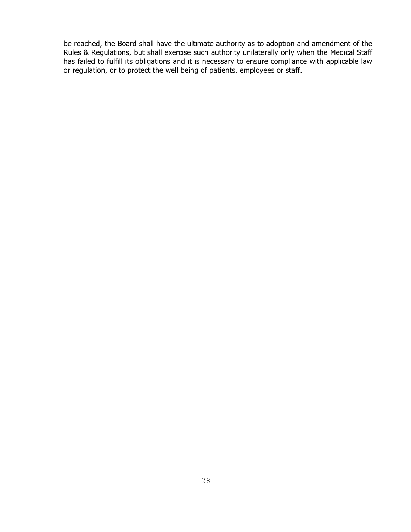be reached, the Board shall have the ultimate authority as to adoption and amendment of the Rules & Regulations, but shall exercise such authority unilaterally only when the Medical Staff has failed to fulfill its obligations and it is necessary to ensure compliance with applicable law or regulation, or to protect the well being of patients, employees or staff.